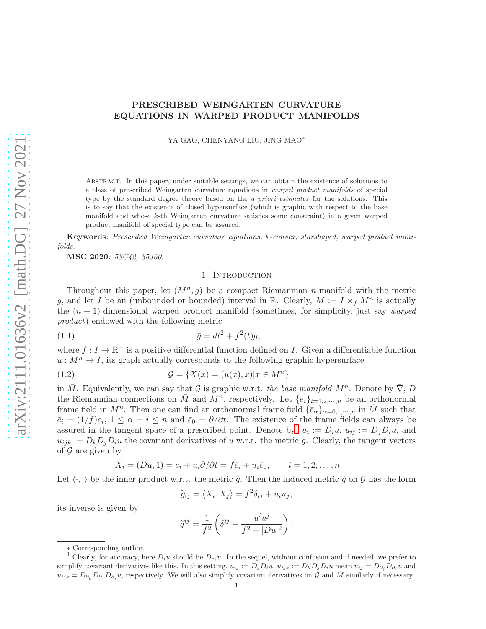# PRESCRIBED WEINGARTEN CURVATURE EQUATIONS IN WARPED PRODUCT MANIFOLDS

YA GAO, CHENYANG LIU, JING MAO<sup>∗</sup>

Abstract. In this paper, under suitable settings, we can obtain the existence of solutions to a class of prescribed Weingarten curvature equations in warped product manifolds of special type by the standard degree theory based on the a priori estimates for the solutions. This is to say that the existence of closed hypersurface (which is graphic with respect to the base manifold and whose  $k$ -th Weingarten curvature satisfies some constraint) in a given warped product manifold of special type can be assured.

Keywords: Prescribed Weingarten curvature equations, k-convex, starshaped, warped product manifolds.

<span id="page-0-2"></span>MSC 2020: 53C42, 35J60.

### <span id="page-0-1"></span>1. INTRODUCTION

Throughout this paper, let  $(M^n, g)$  be a compact Riemannian *n*-manifold with the metric g, and let I be an (unbounded or bounded) interval in R. Clearly,  $\overline{M} := I \times_f M^n$  is actually the  $(n + 1)$ -dimensional warped product manifold (sometimes, for simplicity, just say *warped* product) endowed with the following metric

(1.1) 
$$
\bar{g} = dt^2 + f^2(t)g,
$$

where  $f: I \to \mathbb{R}^+$  is a positive differential function defined on I. Given a differentiable function  $u : M^n \to I$ , its graph actually corresponds to the following graphic hypersurface

(1.2) 
$$
\mathcal{G} = \{X(x) = (u(x), x)|x \in M^n\}
$$

in M. Equivalently, we can say that G is graphic w.r.t. the base manifold  $M^n$ . Denote by  $\overline{\nabla}$ , D the Riemannian connections on  $\overline{M}$  and  $\overline{M}^n$ , respectively. Let  $\{e_i\}_{i=1,2,\cdots,n}$  be an orthonormal frame field in  $M^n$ . Then one can find an orthonormal frame field  $\{\bar{e}_\alpha\}_{\alpha=0,1,\cdots,n}$  in  $\bar{M}$  such that  $\bar{e}_i = (1/f)e_i, 1 \leq \alpha = i \leq n$  and  $\bar{e}_0 = \partial/\partial t$ . The existence of the frame fields can always be assured in the tangent space of a prescribed point. Denote by  $u_i := D_i u$ ,  $u_{ij} := D_j D_i u$ , and  $u_{ijk} := D_k D_j D_i u$  the covariant derivatives of u w.r.t. the metric g. Clearly, the tangent vectors of  $\mathcal G$  are given by

$$
X_i = (Du, 1) = e_i + u_i \partial/\partial t = f\overline{e}_i + u_i \overline{e}_0, \qquad i = 1, 2, \dots, n.
$$

Let  $\langle \cdot, \cdot \rangle$  be the inner product w.r.t. the metric  $\bar{g}$ . Then the induced metric  $\tilde{g}$  on G has the form

$$
\widetilde{g}_{ij} = \langle X_i, X_j \rangle = f^2 \delta_{ij} + u_i u_j,
$$

its inverse is given by

$$
\widetilde{g}^{ij} = \frac{1}{f^2} \left( \delta^{ij} - \frac{u^i u^j}{f^2 + |Du|^2} \right),\,
$$

<sup>∗</sup> Corresponding author.

<span id="page-0-0"></span><sup>&</sup>lt;sup>1</sup> Clearly, for accuracy, here  $D_iu$  should be  $D_{e_i}u$ . In the sequel, without confusion and if needed, we prefer to simplify covariant derivatives like this. In this setting,  $u_{ij} := D_j D_i u$ ,  $u_{ijk} := D_k D_j D_i u$  mean  $u_{ij} = D_{\partial_i} D_{\partial_i} u$  and  $u_{ijk} = D_{\partial_k} D_{\partial_j} D_{\partial_i} u$ , respectively. We will also simplify covariant derivatives on G and M similarly if necessary.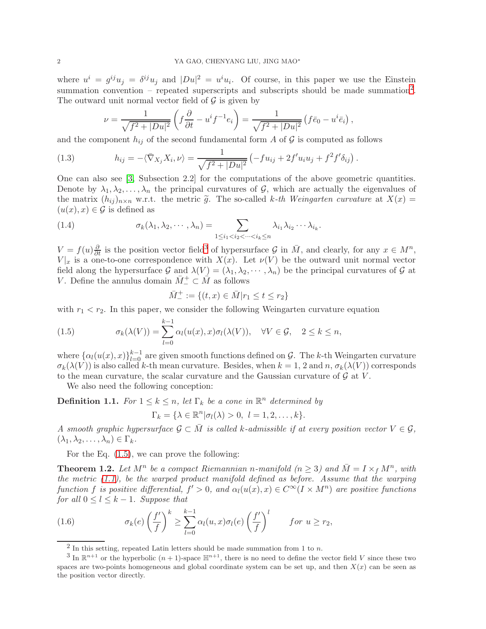where  $u^i = g^{ij}u_j = \delta^{ij}u_j$  and  $|Du|^2 = u^i u_i$ . Of course, in this paper we use the Einstein summation convention – repeated superscripts and subscripts should be made summation<sup>[2](#page-1-0)</sup>. The outward unit normal vector field of  $\mathcal G$  is given by

<span id="page-1-5"></span>
$$
\nu = \frac{1}{\sqrt{f^2 + |Du|^2}} \left( f \frac{\partial}{\partial t} - u^i f^{-1} e_i \right) = \frac{1}{\sqrt{f^2 + |Du|^2}} \left( f \overline{e}_0 - u^i \overline{e}_i \right),
$$

and the component  $h_{ij}$  of the second fundamental form A of G is computed as follows

(1.3) 
$$
h_{ij} = -\langle \bar{\nabla}_{X_j} X_i, \nu \rangle = \frac{1}{\sqrt{f^2 + |Du|^2}} \left( -fu_{ij} + 2f'u_iu_j + f^2f'\delta_{ij} \right).
$$

One can also see [\[3,](#page-17-0) Subsection 2.2] for the computations of the above geometric quantities. Denote by  $\lambda_1, \lambda_2, \ldots, \lambda_n$  the principal curvatures of G, which are actually the eigenvalues of the matrix  $(h_{ij})_{n\times n}$  w.r.t. the metric  $\tilde{g}$ . The so-called k-th Weingarten curvature at  $X(x)$  =  $(u(x), x) \in \mathcal{G}$  is defined as

(1.4) 
$$
\sigma_k(\lambda_1, \lambda_2, \cdots, \lambda_n) = \sum_{1 \leq i_1 < i_2 < \cdots < i_k \leq n} \lambda_{i_1} \lambda_{i_2} \cdots \lambda_{i_k}.
$$

 $V = f(u)\frac{\partial}{\partial t}$  is the position vector field<sup>[3](#page-1-1)</sup> of hypersurface G in  $\overline{M}$ , and clearly, for any  $x \in M^n$ ,  $V|x|$  is a one-to-one correspondence with  $X(x)$ . Let  $\nu(V)$  be the outward unit normal vector field along the hypersurface G and  $\lambda(V) = (\lambda_1, \lambda_2, \cdots, \lambda_n)$  be the principal curvatures of G at V. Define the annulus domain  $\overline{M}^+ \subset \overline{M}$  as follows

$$
\bar{M}^+ := \{(t, x) \in \bar{M}| r_1 \le t \le r_2\}
$$

with  $r_1 < r_2$ . In this paper, we consider the following Weingarten curvature equation

<span id="page-1-2"></span>(1.5) 
$$
\sigma_k(\lambda(V)) = \sum_{l=0}^{k-1} \alpha_l(u(x),x) \sigma_l(\lambda(V)), \quad \forall V \in \mathcal{G}, \quad 2 \leq k \leq n,
$$

where  $\{\alpha_l(u(x),x)\}_{l=0}^{k-1}$  are given smooth functions defined on G. The k-th Weingarten curvature  $\sigma_k(\lambda(V))$  is also called k-th mean curvature. Besides, when  $k = 1, 2$  and  $n, \sigma_k(\lambda(V))$  corresponds to the mean curvature, the scalar curvature and the Gaussian curvature of  $\mathcal G$  at  $V$ .

We also need the following conception:

**Definition 1.1.** For  $1 \leq k \leq n$ , let  $\Gamma_k$  be a cone in  $\mathbb{R}^n$  determined by

$$
\Gamma_k = \{ \lambda \in \mathbb{R}^n | \sigma_l(\lambda) > 0, \ l = 1, 2, \dots, k \}.
$$

A smooth graphic hypersurface  $\mathcal{G} \subset \overline{M}$  is called k-admissible if at every position vector  $V \in \mathcal{G}$ ,  $(\lambda_1, \lambda_2, \ldots, \lambda_n) \in \Gamma_k$ .

For the Eq. [\(1.5\)](#page-1-2), we can prove the following:

<span id="page-1-3"></span>**Theorem 1.2.** Let  $M^n$  be a compact Riemannian n-manifold  $(n \geq 3)$  and  $\overline{M} = I \times_f M^n$ , with the metric  $(1.1)$ , be the warped product manifold defined as before. Assume that the warping function f is positive differential,  $f' > 0$ , and  $\alpha_l(u(x), x) \in C^\infty(I \times M^n)$  are positive functions for all  $0 \leq l \leq k-1$ . Suppose that

(1.6) 
$$
\sigma_k(e) \left(\frac{f'}{f}\right)^k \geq \sum_{l=0}^{k-1} \alpha_l(u,x) \sigma_l(e) \left(\frac{f'}{f}\right)^l \quad for \ u \geq r_2,
$$

<span id="page-1-4"></span><span id="page-1-0"></span> $^2$  In this setting, repeated Latin letters should be made summation from 1 to n.

<span id="page-1-1"></span><sup>&</sup>lt;sup>3</sup> In  $\mathbb{R}^{n+1}$  or the hyperbolic  $(n+1)$ -space  $\mathbb{H}^{n+1}$ , there is no need to define the vector field V since these two spaces are two-points homogeneous and global coordinate system can be set up, and then  $X(x)$  can be seen as the position vector directly.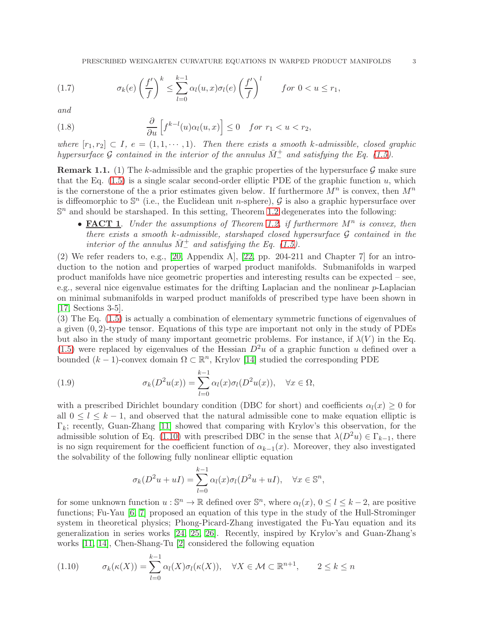<span id="page-2-2"></span>(1.7) 
$$
\sigma_k(e) \left(\frac{f'}{f}\right)^k \leq \sum_{l=0}^{k-1} \alpha_l(u,x) \sigma_l(e) \left(\frac{f'}{f}\right)^l \qquad \text{for } 0 < u \leq r_1,
$$

and

<span id="page-2-3"></span>(1.8) 
$$
\frac{\partial}{\partial u}\left[f^{k-l}(u)\alpha_l(u,x)\right] \leq 0 \quad \text{for } r_1 < u < r_2,
$$

where  $[r_1, r_2] \subset I$ ,  $e = (1, 1, \dots, 1)$ . Then there exists a smooth k-admissible, closed graphic hypersurface G contained in the interior of the annulus  $\overline{M}^+$  and satisfying the Eq. [\(1.5\)](#page-1-2).

<span id="page-2-1"></span>**Remark 1.1.** (1) The k-admissible and the graphic properties of the hypersurface  $\mathcal{G}$  make sure that the Eq.  $(1.5)$  is a single scalar second-order elliptic PDE of the graphic function u, which is the cornerstone of the a prior estimates given below. If furthermore  $M^n$  is convex, then  $M^n$ is diffeomorphic to  $\mathbb{S}^n$  (i.e., the Euclidean unit *n*-sphere),  $\mathcal G$  is also a graphic hypersurface over  $\mathbb{S}^n$  and should be starshaped. In this setting, Theorem [1.2](#page-1-3) degenerates into the following:

• **FACT 1**. Under the assumptions of Theorem [1.2,](#page-1-3) if furthermore  $M^n$  is convex, then there exists a smooth k-admissible, starshaped closed hypersurface  $\mathcal G$  contained in the interior of the annulus  $\bar{M}^{\pm}$  and satisfying the Eq. [\(1.5\)](#page-1-2).

(2) We refer readers to, e.g., [\[20,](#page-18-0) Appendix A], [\[22,](#page-18-1) pp. 204-211 and Chapter 7] for an introduction to the notion and properties of warped product manifolds. Submanifolds in warped product manifolds have nice geometric properties and interesting results can be expected – see, e.g., several nice eigenvalue estimates for the drifting Laplacian and the nonlinear p-Laplacian on minimal submanifolds in warped product manifolds of prescribed type have been shown in [\[17,](#page-17-1) Sections 3-5].

(3) The Eq. [\(1.5\)](#page-1-2) is actually a combination of elementary symmetric functions of eigenvalues of a given  $(0, 2)$ -type tensor. Equations of this type are important not only in the study of PDEs but also in the study of many important geometric problems. For instance, if  $\lambda(V)$  in the Eq. [\(1.5\)](#page-1-2) were replaced by eigenvalues of the Hessian  $D<sup>2</sup>u$  of a graphic function u defined over a bounded  $(k-1)$ -convex domain  $\Omega \subset \mathbb{R}^n$ , Krylov [\[14\]](#page-17-2) studied the corresponding PDE

(1.9) 
$$
\sigma_k(D^2u(x)) = \sum_{l=0}^{k-1} \alpha_l(x)\sigma_l(D^2u(x)), \quad \forall x \in \Omega,
$$

with a prescribed Dirichlet boundary condition (DBC for short) and coefficients  $\alpha_l(x) \geq 0$  for all  $0 \leq l \leq k-1$ , and observed that the natural admissible cone to make equation elliptic is  $\Gamma_k$ ; recently, Guan-Zhang [\[11\]](#page-17-3) showed that comparing with Krylov's this observation, for the admissible solution of Eq. [\(1.10\)](#page-2-0) with prescribed DBC in the sense that  $\lambda(D^2u) \in \Gamma_{k-1}$ , there is no sign requirement for the coefficient function of  $\alpha_{k-1}(x)$ . Moreover, they also investigated the solvability of the following fully nonlinear elliptic equation

$$
\sigma_k(D^2u+uI) = \sum_{l=0}^{k-1} \alpha_l(x)\sigma_l(D^2u+uI), \quad \forall x \in \mathbb{S}^n,
$$

for some unknown function  $u : \mathbb{S}^n \to \mathbb{R}$  defined over  $\mathbb{S}^n$ , where  $\alpha_l(x)$ ,  $0 \le l \le k-2$ , are positive functions; Fu-Yau [\[6,](#page-17-4) [7\]](#page-17-5) proposed an equation of this type in the study of the Hull-Strominger system in theoretical physics; Phong-Picard-Zhang investigated the Fu-Yau equation and its generalization in series works [\[24,](#page-18-2) [25,](#page-18-3) [26\]](#page-18-4). Recently, inspired by Krylov's and Guan-Zhang's works [\[11,](#page-17-3) [14\]](#page-17-2), Chen-Shang-Tu [\[2\]](#page-17-6) considered the following equation

<span id="page-2-0"></span>
$$
(1.10) \qquad \sigma_k(\kappa(X)) = \sum_{l=0}^{k-1} \alpha_l(X)\sigma_l(\kappa(X)), \quad \forall X \in \mathcal{M} \subset \mathbb{R}^{n+1}, \qquad 2 \le k \le n
$$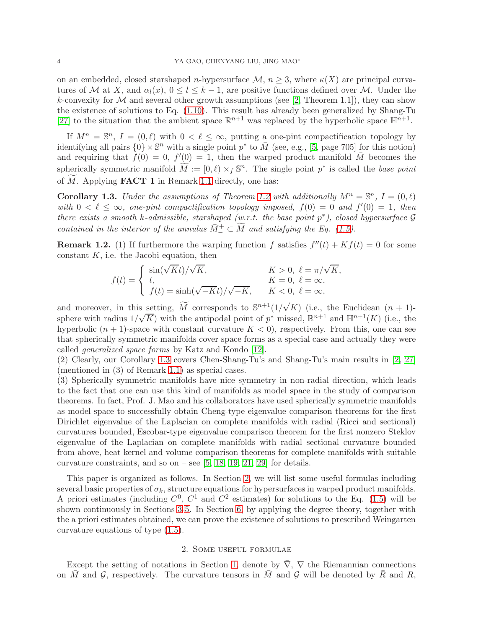on an embedded, closed starshaped n-hypersurface  $\mathcal{M}, n \geq 3$ , where  $\kappa(X)$  are principal curvatures of M at X, and  $\alpha_l(x)$ ,  $0 \leq l \leq k-1$ , are positive functions defined over M. Under the k-convexity for  $M$  and several other growth assumptions (see [\[2,](#page-17-6) Theorem 1.1]), they can show the existence of solutions to Eq. [\(1.10\)](#page-2-0). This result has already been generalized by Shang-Tu [\[27\]](#page-18-5) to the situation that the ambient space  $\mathbb{R}^{n+1}$  was replaced by the hyperbolic space  $\mathbb{H}^{n+1}$ .

If  $M^n = \mathbb{S}^n$ ,  $I = (0, \ell)$  with  $0 < \ell \leq \infty$ , putting a one-pint compactification topology by identifying all pairs  $\{0\} \times \mathbb{S}^n$  with a single point  $p^*$  to  $\overline{M}$  (see, e.g., [\[5,](#page-17-7) page 705] for this notion) and requiring that  $f(0) = 0$ ,  $f'(0) = 1$ , then the warped product manifold  $\overline{M}$  becomes the spherically symmetric manifold  $\widetilde{M} := [0, \ell) \times_f \mathbb{S}^n$ . The single point  $p^*$  is called the base point of  $M$ . Applying **FACT 1** in Remark [1.1](#page-2-1) directly, one has:

<span id="page-3-0"></span>**Corollary 1.3.** Under the assumptions of Theorem [1.2](#page-1-3) with additionally  $M^n = \mathbb{S}^n$ ,  $I = (0, \ell)$ with  $0 < \ell \leq \infty$ , one-pint compactification topology imposed,  $f(0) = 0$  and  $f'(0) = 1$ , then there exists a smooth k-admissible, starshaped  $(w.r.t.$  the base point  $p^*$ ), closed hypersurface  $\mathcal G$ contained in the interior of the annulus  $\overline{M}^+ \subset \widetilde{M}$  and satisfying the Eq. [\(1.5\)](#page-1-2).

**Remark 1.2.** (1) If furthermore the warping function f satisfies  $f''(t) + Kf(t) = 0$  for some constant  $K$ , i.e. the Jacobi equation, then

$$
f(t) = \begin{cases} \sin(\sqrt{K}t)/\sqrt{K}, & K > 0, \ \ell = \pi/\sqrt{K}, \\ t, & K = 0, \ \ell = \infty, \\ f(t) = \sinh(\sqrt{-K}t)/\sqrt{-K}, & K < 0, \ \ell = \infty, \end{cases}
$$

and moreover, in this setting,  $\widetilde{M}$  corresponds to  $\mathbb{S}^{n+1}(1/\sqrt{K})$  (i.e., the Euclidean  $(n + 1)$ sphere with radius  $1/\sqrt{K}$ ) with the antipodal point of  $p^*$  missed,  $\mathbb{R}^{n+1}$  and  $\mathbb{H}^{n+1}(K)$  (i.e., the hyperbolic  $(n + 1)$ -space with constant curvature  $K < 0$ , respectively. From this, one can see that spherically symmetric manifolds cover space forms as a special case and actually they were called generalized space forms by Katz and Kondo [\[12\]](#page-17-8).

(2) Clearly, our Corollary [1.3](#page-3-0) covers Chen-Shang-Tu's and Shang-Tu's main results in [\[2,](#page-17-6) [27\]](#page-18-5) (mentioned in (3) of Remark [1.1\)](#page-2-1) as special cases.

(3) Spherically symmetric manifolds have nice symmetry in non-radial direction, which leads to the fact that one can use this kind of manifolds as model space in the study of comparison theorems. In fact, Prof. J. Mao and his collaborators have used spherically symmetric manifolds as model space to successfully obtain Cheng-type eigenvalue comparison theorems for the first Dirichlet eigenvalue of the Laplacian on complete manifolds with radial (Ricci and sectional) curvatures bounded, Escobar-type eigenvalue comparison theorem for the first nonzero Steklov eigenvalue of the Laplacian on complete manifolds with radial sectional curvature bounded from above, heat kernel and volume comparison theorems for complete manifolds with suitable curvature constraints, and so on – see  $[5, 18, 19, 21, 29]$  $[5, 18, 19, 21, 29]$  $[5, 18, 19, 21, 29]$  $[5, 18, 19, 21, 29]$  $[5, 18, 19, 21, 29]$  for details.

This paper is organized as follows. In Section [2,](#page-3-1) we will list some useful formulas including several basic properties of  $\sigma_k$ , structure equations for hypersurfaces in warped product manifolds. A priori estimates (including  $C^0$ ,  $C^1$  and  $C^2$  estimates) for solutions to the Eq. [\(1.5\)](#page-1-2) will be shown continuously in Sections [3](#page-6-0)[-5.](#page-11-0) In Section [6,](#page-16-0) by applying the degree theory, together with the a priori estimates obtained, we can prove the existence of solutions to prescribed Weingarten curvature equations of type [\(1.5\)](#page-1-2).

## 2. Some useful formulae

<span id="page-3-1"></span>Except the setting of notations in Section [1,](#page-0-2) denote by  $\overline{\nabla}$ ,  $\nabla$  the Riemannian connections on  $\overline{M}$  and  $\overline{G}$ , respectively. The curvature tensors in  $\overline{M}$  and  $\overline{G}$  will be denoted by  $\overline{R}$  and  $R$ ,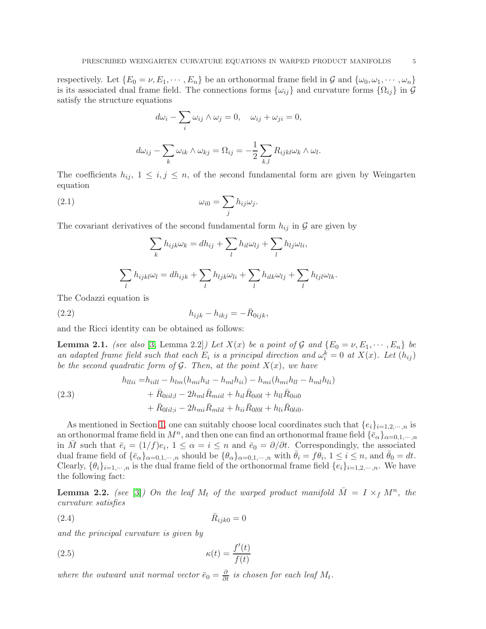respectively. Let  $\{E_0 = \nu, E_1, \cdots, E_n\}$  be an orthonormal frame field in G and  $\{\omega_0, \omega_1, \cdots, \omega_n\}$ is its associated dual frame field. The connections forms  $\{\omega_{ij}\}\$  and curvature forms  $\{\Omega_{ij}\}\$  in  $\mathcal G$ satisfy the structure equations

$$
d\omega_i - \sum_i \omega_{ij} \wedge \omega_j = 0, \quad \omega_{ij} + \omega_{ji} = 0,
$$

$$
d\omega_{ij} - \sum_{k} \omega_{ik} \wedge \omega_{kj} = \Omega_{ij} = -\frac{1}{2} \sum_{k,l} R_{ijkl} \omega_k \wedge \omega_l.
$$

The coefficients  $h_{ij}$ ,  $1 \leq i, j \leq n$ , of the second fundamental form are given by Weingarten equation

(2.1) 
$$
\omega_{i0} = \sum_j h_{ij} \omega_j.
$$

The covariant derivatives of the second fundamental form  $h_{ij}$  in  $\mathcal G$  are given by

$$
\sum_{k} h_{ijk}\omega_{k} = dh_{ij} + \sum_{l} h_{il}\omega_{lj} + \sum_{l} h_{lj}\omega_{li},
$$

$$
\sum_{l} h_{ijkl}\omega_{l} = dh_{ijk} + \sum_{l} h_{ljk}\omega_{li} + \sum_{l} h_{ilk}\omega_{lj} + \sum_{l} h_{ljl}\omega_{lk}.
$$

The Codazzi equation is

$$
(2.2) \t\t\t\t\t h_{ijk} - h_{ikj} = -\bar{R}_{0ijk},
$$

and the Ricci identity can be obtained as follows:

**Lemma 2.1.** (see also [\[3,](#page-17-0) Lemma 2.2]) Let  $X(x)$  be a point of G and  $\{E_0 = \nu, E_1, \dots, E_n\}$  be an adapted frame field such that each  $E_i$  is a principal direction and  $\omega_i^k = 0$  at  $X(x)$ . Let  $(h_{ij})$ be the second quadratic form of  $\mathcal G$ . Then, at the point  $X(x)$ , we have

<span id="page-4-1"></span>(2.3)  
\n
$$
h_{llii} = h_{iill} - h_{lm}(h_{mi}h_{il} - h_{ml}h_{ii}) - h_{mi}(h_{mi}h_{ll} - h_{ml}h_{li})
$$
\n
$$
+ \bar{R}_{0iil;l} - 2h_{ml}\bar{R}_{mili} + h_{il}\bar{R}_{0i0l} + h_{ll}\bar{R}_{0i0l}
$$
\n
$$
+ \bar{R}_{0lil;i} - 2h_{mi}\bar{R}_{mlil} + h_{ii}\bar{R}_{0l0l} + h_{li}\bar{R}_{0li0}.
$$

As mentioned in Section [1,](#page-0-2) one can suitably choose local coordinates such that  $\{e_i\}_{i=1,2,\dots,n}$  is an orthonormal frame field in  $M^n$ , and then one can find an orthonormal frame field  $\{\bar{e}_\alpha\}_{\alpha=0,1,\cdots,n}$ in  $\overline{M}$  such that  $\overline{e}_i = (1/f)e_i$ ,  $1 \leq \alpha = i \leq n$  and  $\overline{e}_0 = \partial/\partial t$ . Correspondingly, the associated dual frame field of  $\{\bar{e}_{\alpha}\}_{{\alpha}=0,1,\cdots,n}$  should be  $\{\theta_{\alpha}\}_{{\alpha}=0,1,\cdots,n}$  with  $\bar{\theta}_{i} = f\bar{\theta}_{i}, 1 \leq i \leq n$ , and  $\bar{\theta}_{0} = dt$ . Clearly,  $\{\theta_i\}_{i=1,\dots,n}$  is the dual frame field of the orthonormal frame field  $\{e_i\}_{i=1,2,\dots,n}$ . We have the following fact:

**Lemma 2.2.** (see [\[3\]](#page-17-0)) On the leaf  $M_t$  of the warped product manifold  $\overline{M} = I \times_f M^n$ , the curvature satisfies

<span id="page-4-0"></span>
$$
(2.4) \qquad \qquad \bar{R}_{ijk0} = 0
$$

and the principal curvature is given by

(2.5) 
$$
\kappa(t) = \frac{f'(t)}{f(t)}
$$

where the outward unit normal vector  $\bar{e}_0 = \frac{\partial}{\partial t}$  is chosen for each leaf  $M_t$ .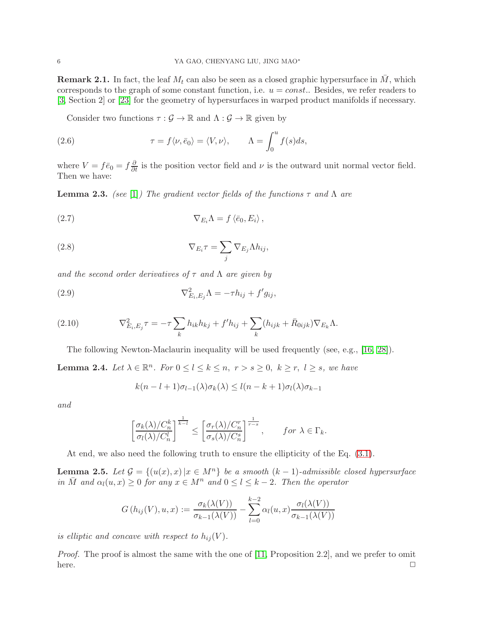**Remark 2.1.** In fact, the leaf  $M_t$  can also be seen as a closed graphic hypersurface in  $\overline{M}$ , which corresponds to the graph of some constant function, i.e.  $u = const.$ . Besides, we refer readers to [\[3,](#page-17-0) Section 2] or [\[23\]](#page-18-9) for the geometry of hypersurfaces in warped product manifolds if necessary.

<span id="page-5-0"></span>Consider two functions  $\tau : \mathcal{G} \to \mathbb{R}$  and  $\Lambda : \mathcal{G} \to \mathbb{R}$  given by

(2.6) 
$$
\tau = f \langle \nu, \bar{e}_0 \rangle = \langle V, \nu \rangle, \qquad \Lambda = \int_0^u f(s) ds,
$$

where  $V = f\bar{e}_0 = f\frac{\partial}{\partial t}$  is the position vector field and  $\nu$  is the outward unit normal vector field. Then we have:

<span id="page-5-4"></span>**Lemma 2.3.** (see [\[1\]](#page-17-10)) The gradient vector fields of the functions  $\tau$  and  $\Lambda$  are

<span id="page-5-1"></span>(2.7) 
$$
\nabla_{E_i} \Lambda = f \langle \bar{e}_0, E_i \rangle,
$$

<span id="page-5-2"></span>(2.8) 
$$
\nabla_{E_i} \tau = \sum_j \nabla_{E_j} \Lambda h_{ij},
$$

and the second order derivatives of  $\tau$  and  $\Lambda$  are given by

(2.9) 
$$
\nabla_{E_i,E_j}^2 \Lambda = -\tau h_{ij} + f' g_{ij},
$$

(2.10) 
$$
\nabla_{E_i,E_j}^2 \tau = -\tau \sum_k h_{ik} h_{kj} + f' h_{ij} + \sum_k (h_{ijk} + \bar{R}_{0ijk}) \nabla_{E_k} \Lambda.
$$

The following Newton-Maclaurin inequality will be used frequently (see, e.g., [\[16,](#page-17-11) [28\]](#page-18-10)).

<span id="page-5-3"></span>**Lemma 2.4.** Let  $\lambda \in \mathbb{R}^n$ . For  $0 \le l \le k \le n$ ,  $r > s \ge 0$ ,  $k \ge r$ ,  $l \ge s$ , we have

$$
k(n-l+1)\sigma_{l-1}(\lambda)\sigma_k(\lambda) \leq l(n-k+1)\sigma_l(\lambda)\sigma_{k-1}
$$

and

$$
\left[\frac{\sigma_k(\lambda)/C_n^k}{\sigma_l(\lambda)/C_n^l}\right]^{\frac{1}{k-l}} \le \left[\frac{\sigma_r(\lambda)/C_n^r}{\sigma_s(\lambda)/C_n^s}\right]^{\frac{1}{r-s}}, \quad \text{for } \lambda \in \Gamma_k.
$$

At end, we also need the following truth to ensure the ellipticity of the Eq. [\(3.1\)](#page-6-1).

**Lemma 2.5.** Let  $\mathcal{G} = \{(u(x), x) | x \in M^n\}$  be a smooth  $(k-1)$ -admissible closed hypersurface in  $\overline{M}$  and  $\alpha_l(u, x) \geq 0$  for any  $x \in M^n$  and  $0 \leq l \leq k-2$ . Then the operator

$$
G(h_{ij}(V), u, x) := \frac{\sigma_k(\lambda(V))}{\sigma_{k-1}(\lambda(V))} - \sum_{l=0}^{k-2} \alpha_l(u, x) \frac{\sigma_l(\lambda(V))}{\sigma_{k-1}(\lambda(V))}
$$

is elliptic and concave with respect to  $h_{ij}(V)$ .

Proof. The proof is almost the same with the one of [\[11,](#page-17-3) Proposition 2.2], and we prefer to omit here.  $\Box$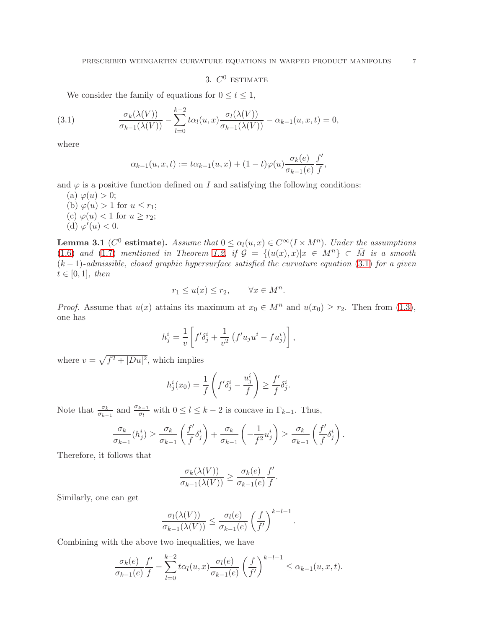3.  $C^0$  ESTIMATE

<span id="page-6-0"></span>We consider the family of equations for  $0 \le t \le 1$ ,

(3.1) 
$$
\frac{\sigma_k(\lambda(V))}{\sigma_{k-1}(\lambda(V))} - \sum_{l=0}^{k-2} t \alpha_l(u,x) \frac{\sigma_l(\lambda(V))}{\sigma_{k-1}(\lambda(V))} - \alpha_{k-1}(u,x,t) = 0,
$$

where

<span id="page-6-1"></span>
$$
\alpha_{k-1}(u,x,t) := t\alpha_{k-1}(u,x) + (1-t)\varphi(u)\frac{\sigma_k(e)}{\sigma_{k-1}(e)}\frac{f'}{f},
$$

and  $\varphi$  is a positive function defined on I and satisfying the following conditions:

(a)  $\varphi(u) > 0$ ;

- (b)  $\varphi(u) > 1$  for  $u \leq r_1$ ;
- (c)  $\varphi(u)$  < 1 for  $u \ge r_2$ ; (d)  $\varphi'(u) < 0$ .

<span id="page-6-2"></span>**Lemma 3.1** ( $C^0$  estimate). Assume that  $0 \leq \alpha_l(u, x) \in C^\infty(I \times M^n)$ . Under the assumptions [\(1.6\)](#page-1-4) and [\(1.7\)](#page-2-2) mentioned in Theorem [1.2,](#page-1-3) if  $\mathcal{G} = \{(u(x), x)|x \in M^n\} \subset \overline{M}$  is a smooth  $(k-1)$ -admissible, closed graphic hypersurface satisfied the curvature equation [\(3.1\)](#page-6-1) for a given  $t \in [0,1]$ , then

$$
r_1 \le u(x) \le r_2, \qquad \forall x \in M^n.
$$

*Proof.* Assume that  $u(x)$  attains its maximum at  $x_0 \in M^n$  and  $u(x_0) \ge r_2$ . Then from [\(1.3\)](#page-1-5), one has

$$
h_j^i = \frac{1}{v} \left[ f' \delta_j^i + \frac{1}{v^2} \left( f' u_j u^i - f u_j^i \right) \right],
$$

where  $v = \sqrt{f^2 + |Du|^2}$ , which implies

$$
h_j^i(x_0) = \frac{1}{f}\left(f'\delta_j^i - \frac{u_j^i}{f}\right) \ge \frac{f'}{f}\delta_j^i.
$$

Note that  $\frac{\sigma_k}{\sigma_{k-1}}$  and  $\frac{\sigma_{k-1}}{\sigma_l}$  with  $0 \le l \le k-2$  is concave in  $\Gamma_{k-1}$ . Thus,

$$
\frac{\sigma_k}{\sigma_{k-1}}(h_j^i) \ge \frac{\sigma_k}{\sigma_{k-1}} \left( \frac{f'}{f} \delta_j^i \right) + \frac{\sigma_k}{\sigma_{k-1}} \left( -\frac{1}{f^2} u_j^i \right) \ge \frac{\sigma_k}{\sigma_{k-1}} \left( \frac{f'}{f} \delta_j^i \right).
$$

Therefore, it follows that

$$
\frac{\sigma_k(\lambda(V))}{\sigma_{k-1}(\lambda(V))} \ge \frac{\sigma_k(e)}{\sigma_{k-1}(e)} \frac{f'}{f}.
$$

Similarly, one can get

$$
\frac{\sigma_l(\lambda(V))}{\sigma_{k-1}(\lambda(V))} \leq \frac{\sigma_l(e)}{\sigma_{k-1}(e)} \left(\frac{f}{f'}\right)^{k-l-1}.
$$

Combining with the above two inequalities, we have

$$
\frac{\sigma_k(e)}{\sigma_{k-1}(e)} \frac{f'}{f} - \sum_{l=0}^{k-2} t \alpha_l(u, x) \frac{\sigma_l(e)}{\sigma_{k-1}(e)} \left(\frac{f}{f'}\right)^{k-l-1} \le \alpha_{k-1}(u, x, t).
$$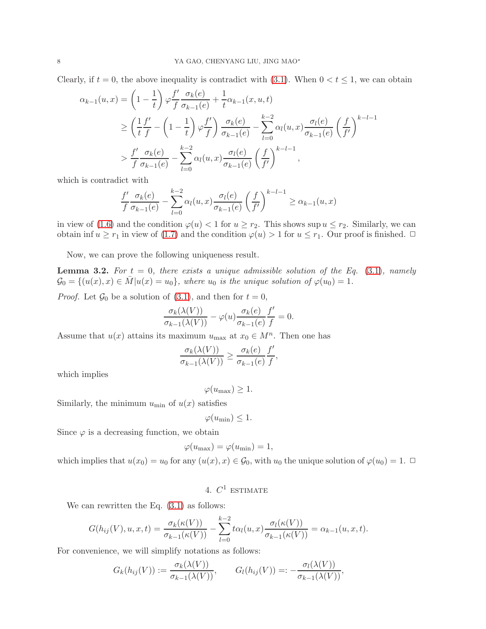Clearly, if  $t = 0$ , the above inequality is contradict with [\(3.1\)](#page-6-1). When  $0 < t \leq 1$ , we can obtain

$$
\alpha_{k-1}(u,x) = \left(1 - \frac{1}{t}\right)\varphi\frac{f'}{f}\frac{\sigma_k(e)}{\sigma_{k-1}(e)} + \frac{1}{t}\alpha_{k-1}(x,u,t)
$$
  
\n
$$
\geq \left(\frac{1}{t}\frac{f'}{f} - \left(1 - \frac{1}{t}\right)\varphi\frac{f'}{f}\right)\frac{\sigma_k(e)}{\sigma_{k-1}(e)} - \sum_{l=0}^{k-2} \alpha_l(u,x)\frac{\sigma_l(e)}{\sigma_{k-1}(e)}\left(\frac{f}{f'}\right)^{k-l-1}
$$
  
\n
$$
>\frac{f'}{f}\frac{\sigma_k(e)}{\sigma_{k-1}(e)} - \sum_{l=0}^{k-2} \alpha_l(u,x)\frac{\sigma_l(e)}{\sigma_{k-1}(e)}\left(\frac{f}{f'}\right)^{k-l-1},
$$

which is contradict with

$$
\frac{f'}{f} \frac{\sigma_k(e)}{\sigma_{k-1}(e)} - \sum_{l=0}^{k-2} \alpha_l(u, x) \frac{\sigma_l(e)}{\sigma_{k-1}(e)} \left(\frac{f}{f'}\right)^{k-l-1} \ge \alpha_{k-1}(u, x)
$$

in view of [\(1.6\)](#page-1-4) and the condition  $\varphi(u) < 1$  for  $u \ge r_2$ . This shows sup  $u \le r_2$ . Similarly, we can obtain inf  $u \ge r_1$  in view of [\(1.7\)](#page-2-2) and the condition  $\varphi(u) > 1$  for  $u \le r_1$ . Our proof is finished.  $\Box$ 

Now, we can prove the following uniqueness result.

<span id="page-7-0"></span>**Lemma 3.2.** For  $t = 0$ , there exists a unique admissible solution of the Eq. [\(3.1\)](#page-6-1), namely  $\mathcal{G}_0 = \{(u(x), x) \in M | u(x) = u_0\},\$  where  $u_0$  is the unique solution of  $\varphi(u_0) = 1$ .

*Proof.* Let  $\mathcal{G}_0$  be a solution of [\(3.1\)](#page-6-1), and then for  $t = 0$ ,

$$
\frac{\sigma_k(\lambda(V))}{\sigma_{k-1}(\lambda(V))} - \varphi(u) \frac{\sigma_k(e)}{\sigma_{k-1}(e)} \frac{f'}{f} = 0.
$$

Assume that  $u(x)$  attains its maximum  $u_{\text{max}}$  at  $x_0 \in M^n$ . Then one has

$$
\frac{\sigma_k(\lambda(V))}{\sigma_{k-1}(\lambda(V))} \ge \frac{\sigma_k(e)}{\sigma_{k-1}(e)} \frac{f'}{f},
$$

which implies

 $\varphi(u_{\max}) \geq 1.$ 

Similarly, the minimum  $u_{\min}$  of  $u(x)$  satisfies

$$
\varphi(u_{\min}) \leq 1.
$$

Since  $\varphi$  is a decreasing function, we obtain

$$
\varphi(u_{\max}) = \varphi(u_{\min}) = 1,
$$

which implies that  $u(x_0) = u_0$  for any  $(u(x), x) \in \mathcal{G}_0$ , with  $u_0$  the unique solution of  $\varphi(u_0) = 1$ .  $\Box$ 

4.  $C^1$  estimate

We can rewritten the Eq.  $(3.1)$  as follows:

$$
G(h_{ij}(V), u, x, t) = \frac{\sigma_k(\kappa(V))}{\sigma_{k-1}(\kappa(V))} - \sum_{l=0}^{k-2} t \alpha_l(u, x) \frac{\sigma_l(\kappa(V))}{\sigma_{k-1}(\kappa(V))} = \alpha_{k-1}(u, x, t).
$$

For convenience, we will simplify notations as follows:

$$
G_k(h_{ij}(V)) := \frac{\sigma_k(\lambda(V))}{\sigma_{k-1}(\lambda(V))}, \qquad G_l(h_{ij}(V)) =: -\frac{\sigma_l(\lambda(V))}{\sigma_{k-1}(\lambda(V))},
$$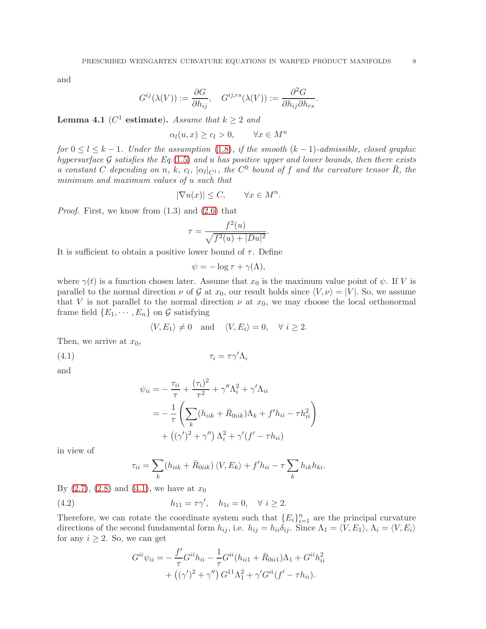and

$$
G^{ij}(\lambda(V)):=\frac{\partial G}{\partial h_{ij}},\quad G^{ij,rs}(\lambda(V)):=\frac{\partial^2 G}{\partial h_{ij}\partial h_{rs}}.
$$

<span id="page-8-1"></span>**Lemma 4.1** ( $C^1$  estimate). Assume that  $k \geq 2$  and

 $\alpha_l(u, x) \geq c_l > 0, \qquad \forall x \in M^n$ 

for  $0 \leq l \leq k-1$ . Under the assumption [\(1.8\)](#page-2-3), if the smooth  $(k-1)$ -admissible, closed graphic hypersurface G satisfies the Eq. [\(1.5\)](#page-1-2) and u has positive upper and lower bounds, then there exists a constant C depending on n, k, c<sub>l</sub>,  $|\alpha_l|_{C^1}$ , the  $C^0$  bound of f and the curvature tensor  $\overline{R}$ , the minimum and maximum values of u such that

$$
|\nabla u(x)| \le C, \qquad \forall x \in M^n.
$$

Proof. First, we know from (1.3) and [\(2.6\)](#page-5-0) that

$$
\tau = \frac{f^2(u)}{\sqrt{f^2(u) + |Du|^2}}.
$$

It is sufficient to obtain a positive lower bound of  $\tau$ . Define

$$
\psi = -\log \tau + \gamma(\Lambda),
$$

where  $\gamma(t)$  is a function chosen later. Assume that  $x_0$  is the maximum value point of  $\psi$ . If V is parallel to the normal direction  $\nu$  of G at  $x_0$ , our result holds since  $\langle V, \nu \rangle = |V|$ . So, we assume that V is not parallel to the normal direction  $\nu$  at  $x_0$ , we may choose the local orthonormal frame field  $\{E_1, \dots, E_n\}$  on  $\mathcal G$  satisfying

<span id="page-8-0"></span>
$$
\langle V, E_1 \rangle \neq 0
$$
 and  $\langle V, E_i \rangle = 0$ ,  $\forall i \geq 2$ .

Then, we arrive at  $x_0$ ,

(4.1)  $\tau_i = \tau \gamma' \Lambda_i$ 

and

$$
\psi_{ii} = -\frac{\tau_{ii}}{\tau} + \frac{(\tau_i)^2}{\tau^2} + \gamma'' \Lambda_i^2 + \gamma' \Lambda_{ii}
$$
  
= 
$$
-\frac{1}{\tau} \left( \sum_k (h_{iik} + \bar{R}_{0iik}) \Lambda_k + f'h_{ii} - \tau h_{ii}^2 \right)
$$
  
+ 
$$
((\gamma')^2 + \gamma'') \Lambda_i^2 + \gamma'(f' - \tau h_{ii})
$$

in view of

$$
\tau_{ii} = \sum_{k} (h_{iik} + \bar{R}_{0iik}) \langle V, E_k \rangle + f'h_{ii} - \tau \sum_{k} h_{ik}h_{ki}.
$$

By  $(2.7)$ ,  $(2.8)$  and  $(4.1)$ , we have at  $x_0$ 

(4.2) 
$$
h_{11} = \tau \gamma', \quad h_{1i} = 0, \quad \forall \ i \ge 2.
$$

Therefore, we can rotate the coordinate system such that  ${E_i}_{i=1}^n$  are the principal curvature directions of the second fundamental form  $h_{ij}$ , i.e.  $h_{ij} = h_{ii} \delta_{ij}$ . Since  $\Lambda_1 = \langle V, E_1 \rangle$ ,  $\Lambda_i = \langle V, E_i \rangle$ for any  $i \geq 2$ . So, we can get

$$
G^{ii}\psi_{ii} = -\frac{f'}{\tau}G^{ii}h_{ii} - \frac{1}{\tau}G^{ii}(h_{ii1} + \bar{R}_{0ii1})\Lambda_1 + G^{ii}h_{ii}^2 + ((\gamma')^2 + \gamma'')G^{11}\Lambda_1^2 + \gamma'G^{ii}(f' - \tau h_{ii}).
$$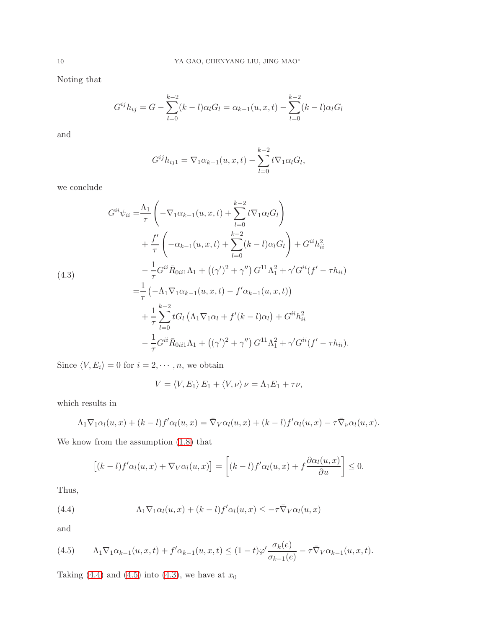Noting that

$$
G^{ij}h_{ij} = G - \sum_{l=0}^{k-2} (k-l)\alpha_l G_l = \alpha_{k-1}(u, x, t) - \sum_{l=0}^{k-2} (k-l)\alpha_l G_l
$$

and

$$
G^{ij}h_{ij1} = \nabla_1 \alpha_{k-1}(u, x, t) - \sum_{l=0}^{k-2} t \nabla_1 \alpha_l G_l,
$$

we conclude

<span id="page-9-2"></span>
$$
G^{ii}\psi_{ii} = \frac{\Lambda_1}{\tau} \left( -\nabla_1 \alpha_{k-1}(u, x, t) + \sum_{l=0}^{k-2} t \nabla_1 \alpha_l G_l \right)
$$
  
+ 
$$
\frac{f'}{\tau} \left( -\alpha_{k-1}(u, x, t) + \sum_{l=0}^{k-2} (k-l) \alpha_l G_l \right) + G^{ii} h_{ii}^2
$$
  
- 
$$
\frac{1}{\tau} G^{ii} \bar{R}_{0ii1} \Lambda_1 + ((\gamma')^2 + \gamma'') G^{11} \Lambda_1^2 + \gamma' G^{ii} (f' - \tau h_{ii})
$$
  
= 
$$
\frac{1}{\tau} \left( -\Lambda_1 \nabla_1 \alpha_{k-1}(u, x, t) - f' \alpha_{k-1}(u, x, t) \right)
$$
  
+ 
$$
\frac{1}{\tau} \sum_{l=0}^{k-2} t G_l \left( \Lambda_1 \nabla_1 \alpha_l + f'(k-l) \alpha_l \right) + G^{ii} h_{ii}^2
$$
  
- 
$$
\frac{1}{\tau} G^{ii} \bar{R}_{0ii1} \Lambda_1 + ((\gamma')^2 + \gamma'') G^{11} \Lambda_1^2 + \gamma' G^{ii} (f' - \tau h_{ii}).
$$

Since  $\langle V, E_i \rangle = 0$  for  $i = 2, \dots, n$ , we obtain

$$
V = \langle V, E_1 \rangle E_1 + \langle V, \nu \rangle \nu = \Lambda_1 E_1 + \tau \nu,
$$

which results in

$$
\Lambda_1 \nabla_1 \alpha_l(u, x) + (k-l) f' \alpha_l(u, x) = \overline{\nabla}_V \alpha_l(u, x) + (k-l) f' \alpha_l(u, x) - \tau \overline{\nabla}_V \alpha_l(u, x).
$$

We know from the assumption [\(1.8\)](#page-2-3) that

<span id="page-9-0"></span>
$$
[(k-l)f'\alpha_l(u,x)+\nabla_V\alpha_l(u,x)]=\left[(k-l)f'\alpha_l(u,x)+f\frac{\partial\alpha_l(u,x)}{\partial u}\right]\leq 0.
$$

Thus,

(4.4) 
$$
\Lambda_1 \nabla_1 \alpha_l(u, x) + (k-l) f' \alpha_l(u, x) \leq -\tau \bar{\nabla}_V \alpha_l(u, x)
$$

and

<span id="page-9-1"></span>
$$
(4.5) \qquad \Lambda_1 \nabla_1 \alpha_{k-1}(u,x,t) + f' \alpha_{k-1}(u,x,t) \leq (1-t)\varphi' \frac{\sigma_k(e)}{\sigma_{k-1}(e)} - \tau \bar{\nabla}_V \alpha_{k-1}(u,x,t).
$$

Taking [\(4.4\)](#page-9-0) and [\(4.5\)](#page-9-1) into [\(4.3\)](#page-9-2), we have at  $x_0$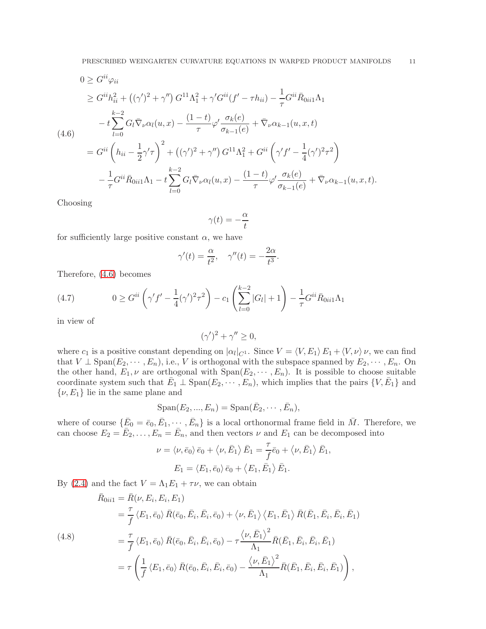<span id="page-10-0"></span>
$$
0 \geq G^{ii}\varphi_{ii}
$$
  
\n
$$
\geq G^{ii}h_{ii}^2 + ((\gamma')^2 + \gamma'') G^{11}\Lambda_1^2 + \gamma' G^{ii}(f' - \tau h_{ii}) - \frac{1}{\tau}G^{ii}\bar{R}_{0ii1}\Lambda_1
$$
  
\n
$$
-t\sum_{l=0}^{k-2} G_l \bar{\nabla}_{\nu}\alpha_l(u, x) - \frac{(1-t)}{\tau}\varphi' \frac{\sigma_k(e)}{\sigma_{k-1}(e)} + \bar{\nabla}_{\nu}\alpha_{k-1}(u, x, t)
$$
  
\n
$$
= G^{ii}\left(h_{ii} - \frac{1}{2}\gamma'\tau\right)^2 + ((\gamma')^2 + \gamma'') G^{11}\Lambda_1^2 + G^{ii}\left(\gamma'f' - \frac{1}{4}(\gamma')^2\tau^2\right)
$$
  
\n
$$
- \frac{1}{\tau}G^{ii}\bar{R}_{0ii1}\Lambda_1 - t\sum_{l=0}^{k-2} G_l \bar{\nabla}_{\nu}\alpha_l(u, x) - \frac{(1-t)}{\tau}\varphi' \frac{\sigma_k(e)}{\sigma_{k-1}(e)} + \bar{\nabla}_{\nu}\alpha_{k-1}(u, x, t).
$$

Choosing

$$
\gamma(t) = -\frac{\alpha}{t}
$$

for sufficiently large positive constant  $\alpha$ , we have

$$
\gamma'(t) = \frac{\alpha}{t^2}, \quad \gamma''(t) = -\frac{2\alpha}{t^3}.
$$

Therefore, [\(4.6\)](#page-10-0) becomes

<span id="page-10-2"></span>(4.7) 
$$
0 \geq G^{ii} \left( \gamma' f' - \frac{1}{4} (\gamma')^2 \tau^2 \right) - c_1 \left( \sum_{l=0}^{k-2} |G_l| + 1 \right) - \frac{1}{\tau} G^{ii} \bar{R}_{0ii1} \Lambda_1
$$

in view of

$$
(\gamma')^2 + \gamma'' \ge 0,
$$

where  $c_1$  is a positive constant depending on  $|\alpha_l|_{C^1}$ . Since  $V = \langle V, E_1 \rangle E_1 + \langle V, \nu \rangle \nu$ , we can find that  $V \perp \text{Span}(E_2, \dots, E_n)$ , i.e., V is orthogonal with the subspace spanned by  $E_2, \dots, E_n$ . On the other hand,  $E_1, \nu$  are orthogonal with  $Span(E_2, \dots, E_n)$ . It is possible to choose suitable coordinate system such that  $\overline{E}_1 \perp \text{Span}(E_2, \dots, E_n)$ , which implies that the pairs  $\{V, \overline{E}_1\}$  and  $\{\nu, E_1\}$  lie in the same plane and

$$
\mathrm{Span}(E_2, ..., E_n) = \mathrm{Span}(\bar{E}_2, \cdots, \bar{E}_n),
$$

where of course  $\{\bar{E}_0 = \bar{e}_0, \bar{E}_1, \dots, \bar{E}_n\}$  is a local orthonormal frame field in  $\bar{M}$ . Therefore, we can choose  $E_2 = \overline{E}_2, \ldots, E_n = \overline{E}_n$ , and then vectors  $\nu$  and  $E_1$  can be decomposed into

$$
\nu = \langle \nu, \bar{e}_0 \rangle \bar{e}_0 + \langle \nu, \bar{E}_1 \rangle \bar{E}_1 = \frac{\tau}{f} \bar{e}_0 + \langle \nu, \bar{E}_1 \rangle \bar{E}_1,
$$
  

$$
E_1 = \langle E_1, \bar{e}_0 \rangle \bar{e}_0 + \langle E_1, \bar{E}_1 \rangle \bar{E}_1.
$$

By [\(2.4\)](#page-4-0) and the fact  $V = \Lambda_1 E_1 + \tau \nu$ , we can obtain

<span id="page-10-1"></span>(4.8)  
\n
$$
\begin{split}\n\bar{R}_{0ii1} &= \bar{R}(\nu, E_i, E_i, E_1) \\
&= \frac{\tau}{f} \langle E_1, \bar{e}_0 \rangle \, \bar{R}(\bar{e}_0, \bar{E}_i, \bar{E}_i, \bar{e}_0) + \langle \nu, \bar{E}_1 \rangle \, \langle E_1, \bar{E}_1 \rangle \, \bar{R}(\bar{E}_1, \bar{E}_i, \bar{E}_i, \bar{E}_1) \\
&= \frac{\tau}{f} \langle E_1, \bar{e}_0 \rangle \, \bar{R}(\bar{e}_0, \bar{E}_i, \bar{E}_i, \bar{e}_0) - \tau \frac{\langle \nu, \bar{E}_1 \rangle^2}{\Lambda_1} \bar{R}(\bar{E}_1, \bar{E}_i, \bar{E}_i, \bar{E}_1) \\
&= \tau \left( \frac{1}{f} \langle E_1, \bar{e}_0 \rangle \, \bar{R}(\bar{e}_0, \bar{E}_i, \bar{E}_i, \bar{e}_0) - \frac{\langle \nu, \bar{E}_1 \rangle^2}{\Lambda_1} \bar{R}(\bar{E}_1, \bar{E}_i, \bar{E}_i, \bar{E}_1) \right),\n\end{split}
$$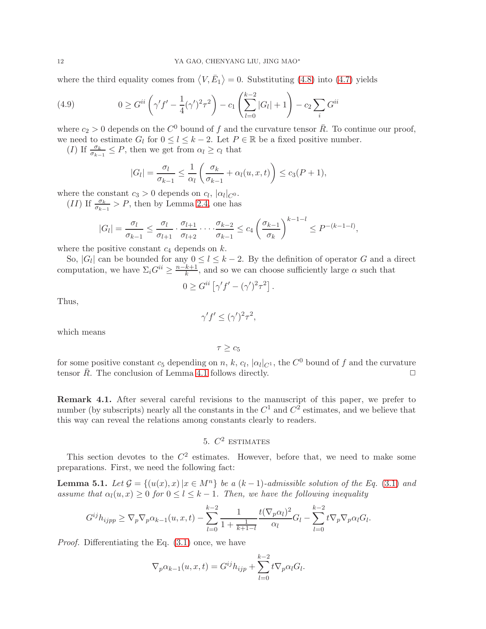where the third equality comes from  $\langle V, \bar{E}_1 \rangle = 0$ . Substituting [\(4.8\)](#page-10-1) into [\(4.7\)](#page-10-2) yields

(4.9) 
$$
0 \geq G^{ii} \left( \gamma' f' - \frac{1}{4} (\gamma')^2 \tau^2 \right) - c_1 \left( \sum_{l=0}^{k-2} |G_l| + 1 \right) - c_2 \sum_i G^{ii}
$$

where  $c_2 > 0$  depends on the  $C^0$  bound of f and the curvature tensor  $\bar{R}$ . To continue our proof, we need to estimate  $G_l$  for  $0 \le l \le k-2$ . Let  $P \in \mathbb{R}$  be a fixed positive number.

(I) If  $\frac{\sigma_k}{\sigma_{k-1}} \leq P$ , then we get from  $\alpha_l \geq c_l$  that

$$
|G_l| = \frac{\sigma_l}{\sigma_{k-1}} \le \frac{1}{\alpha_l} \left( \frac{\sigma_k}{\sigma_{k-1}} + \alpha_l(u, x, t) \right) \le c_3(P + 1),
$$

where the constant  $c_3 > 0$  depends on  $c_l$ ,  $|\alpha_l|_{C^0}$ .

(II) If  $\frac{\sigma_k}{\sigma_{k-1}} > P$ , then by Lemma [2.4,](#page-5-3) one has

$$
|G_l| = \frac{\sigma_l}{\sigma_{k-1}} \le \frac{\sigma_l}{\sigma_{l+1}} \cdot \frac{\sigma_{l+1}}{\sigma_{l+2}} \cdot \cdot \cdot \cdot \frac{\sigma_{k-2}}{\sigma_{k-1}} \le c_4 \left(\frac{\sigma_{k-1}}{\sigma_k}\right)^{k-1-l} \le P^{-(k-1-l)},
$$

where the positive constant  $c_4$  depends on  $k$ .

So,  $|G_l|$  can be bounded for any  $0 \le l \le k-2$ . By the definition of operator G and a direct computation, we have  $\Sigma_i G^{ii} \geq \frac{n-k+1}{k}$ , and so we can choose sufficiently large  $\alpha$  such that

$$
0 \geq G^{ii} \left[ \gamma' f' - (\gamma')^2 \tau^2 \right].
$$

Thus,

 $\gamma' f' \leq (\gamma')^2 \tau^2$ ,

which means

 $\tau > c_5$ 

for some positive constant  $c_5$  depending on n, k,  $c_l$ ,  $|\alpha_l|_{C^1}$ , the  $C^0$  bound of f and the curvature tensor  $\bar{R}$ . The conclusion of Lemma [4.1](#page-8-1) follows directly.  $\Box$ 

Remark 4.1. After several careful revisions to the manuscript of this paper, we prefer to number (by subscripts) nearly all the constants in the  $C^1$  and  $C^2$  estimates, and we believe that this way can reveal the relations among constants clearly to readers.

# 5.  $C^2$  estimates

<span id="page-11-0"></span>This section devotes to the  $C^2$  estimates. However, before that, we need to make some preparations. First, we need the following fact:

<span id="page-11-1"></span>**Lemma 5.1.** Let  $\mathcal{G} = \{(u(x), x) | x \in M^n\}$  be a  $(k-1)$ -admissible solution of the Eq. [\(3.1\)](#page-6-1) and assume that  $\alpha_l(u, x) \geq 0$  for  $0 \leq l \leq k-1$ . Then, we have the following inequality

$$
G^{ij}h_{ijpp} \ge \nabla_p \nabla_p \alpha_{k-1}(u, x, t) - \sum_{l=0}^{k-2} \frac{1}{1 + \frac{1}{k+1-l}} \frac{t(\nabla_p \alpha_l)^2}{\alpha_l} G_l - \sum_{l=0}^{k-2} t \nabla_p \nabla_p \alpha_l G_l.
$$

Proof. Differentiating the Eq. [\(3.1\)](#page-6-1) once, we have

$$
\nabla_p \alpha_{k-1}(u, x, t) = G^{ij} h_{ijp} + \sum_{l=0}^{k-2} t \nabla_p \alpha_l G_l.
$$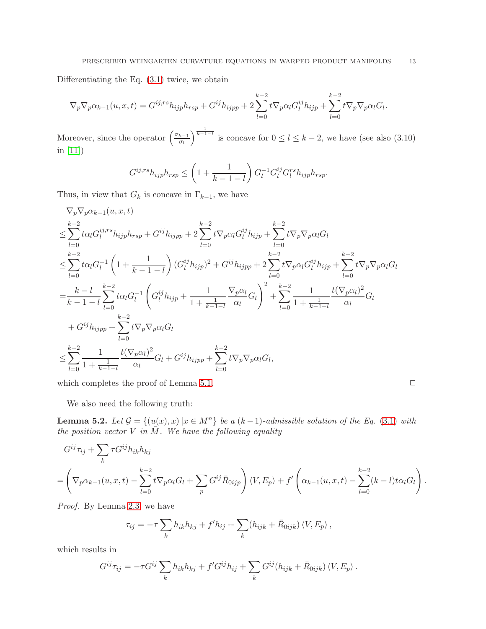Differentiating the Eq. [\(3.1\)](#page-6-1) twice, we obtain

$$
\nabla_p \nabla_p \alpha_{k-1}(u, x, t) = G^{ij, rs} h_{ijp} h_{rsp} + G^{ij} h_{ijpp} + 2 \sum_{l=0}^{k-2} t \nabla_p \alpha_l G_l^{ij} h_{ijp} + \sum_{l=0}^{k-2} t \nabla_p \nabla_p \alpha_l G_l.
$$

Moreover, since the operator  $\left(\frac{\sigma_{k-1}}{\sigma_k}\right)$ σl  $\int^{\frac{1}{k-1-l}}$  is concave for  $0 \le l \le k-2$ , we have (see also (3.10) in [\[11\]](#page-17-3))

$$
G^{ij,rs}h_{ijp}h_{rsp} \le \left(1 + \frac{1}{k-1-l}\right)G_l^{-1}G_l^{ij}G_l^{rs}h_{ijp}h_{rsp}.
$$

Thus, in view that  $G_k$  is concave in  $\Gamma_{k-1}$ , we have

$$
\nabla_{p}\nabla_{p}\alpha_{k-1}(u, x, t) \n\leq \sum_{l=0}^{k-2} t\alpha_{l}G_{l}^{ij, rs}h_{ijp}h_{rsp} + G^{ij}h_{ijpp} + 2\sum_{l=0}^{k-2} t\nabla_{p}\alpha_{l}G_{l}^{ij}h_{ijp} + \sum_{l=0}^{k-2} t\nabla_{p}\nabla_{p}\alpha_{l}G_{l} \n\leq \sum_{l=0}^{k-2} t\alpha_{l}G_{l}^{-1}\left(1 + \frac{1}{k-1-l}\right)(G_{l}^{ij}h_{ijp})^{2} + G^{ij}h_{ijpp} + 2\sum_{l=0}^{k-2} t\nabla_{p}\alpha_{l}G_{l}^{ij}h_{ijp} + \sum_{l=0}^{k-2} t\nabla_{p}\nabla_{p}\alpha_{l}G_{l} \n= \frac{k-l}{k-1-l}\sum_{l=0}^{k-2} t\alpha_{l}G_{l}^{-1}\left(G_{l}^{ij}h_{ijp} + \frac{1}{1+\frac{1}{k-1-l}}\frac{\nabla_{p}\alpha_{l}}{\alpha_{l}}G_{l}\right)^{2} + \sum_{l=0}^{k-2}\frac{1}{1+\frac{1}{k-1-l}}\frac{t(\nabla_{p}\alpha_{l})^{2}}{\alpha_{l}}G_{l} \n+ G^{ij}h_{ijpp} + \sum_{l=0}^{k-2} t\nabla_{p}\nabla_{p}\alpha_{l}G_{l} \n\leq \sum_{l=0}^{k-2}\frac{1}{1+\frac{1}{k-1-l}}\frac{t(\nabla_{p}\alpha_{l})^{2}}{\alpha_{l}}G_{l} + G^{ij}h_{ijpp} + \sum_{l=0}^{k-2} t\nabla_{p}\nabla_{p}\alpha_{l}G_{l},
$$

which completes the proof of Lemma [5.1.](#page-11-1)  $\Box$ 

We also need the following truth:

<span id="page-12-0"></span>**Lemma 5.2.** Let  $\mathcal{G} = \{(u(x), x) | x \in M^n\}$  be a  $(k-1)$ -admissible solution of the Eq. [\(3.1\)](#page-6-1) with the position vector  $V$  in  $\overline{M}$ . We have the following equality

$$
G^{ij}\tau_{ij} + \sum_{k} \tau G^{ij} h_{ik} h_{kj}
$$
  
=  $\left(\nabla_p \alpha_{k-1}(u, x, t) - \sum_{l=0}^{k-2} t \nabla_p \alpha_l G_l + \sum_p G^{ij} \overline{R}_{0ijp}\right) \langle V, E_p \rangle + f' \left(\alpha_{k-1}(u, x, t) - \sum_{l=0}^{k-2} (k-l) t \alpha_l G_l\right).$ 

Proof. By Lemma [2.3,](#page-5-4) we have

$$
\tau_{ij} = -\tau \sum_k h_{ik} h_{kj} + f' h_{ij} + \sum_k (h_{ijk} + \bar{R}_{0ijk}) \langle V, E_p \rangle,
$$

which results in

$$
G^{ij}\tau_{ij} = -\tau G^{ij}\sum_k h_{ik}h_{kj} + f'G^{ij}h_{ij} + \sum_k G^{ij}(h_{ijk} + \bar{R}_{0ijk})\langle V, E_p \rangle.
$$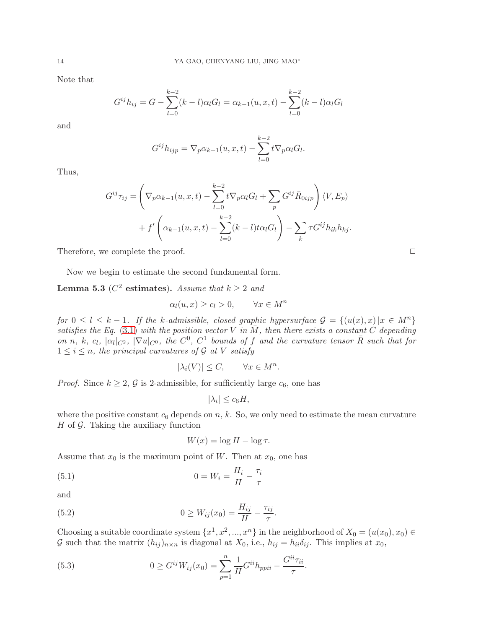Note that

$$
G^{ij}h_{ij} = G - \sum_{l=0}^{k-2} (k-l)\alpha_l G_l = \alpha_{k-1}(u, x, t) - \sum_{l=0}^{k-2} (k-l)\alpha_l G_l
$$

and

$$
G^{ij}h_{ijp} = \nabla_p \alpha_{k-1}(u, x, t) - \sum_{l=0}^{k-2} t \nabla_p \alpha_l G_l.
$$

Thus,

$$
G^{ij}\tau_{ij} = \left(\nabla_p \alpha_{k-1}(u, x, t) - \sum_{l=0}^{k-2} t \nabla_p \alpha_l G_l + \sum_p G^{ij} \overline{R}_{0ijp}\right) \langle V, E_p \rangle
$$

$$
+ f' \left(\alpha_{k-1}(u, x, t) - \sum_{l=0}^{k-2} (k-l) t \alpha_l G_l\right) - \sum_k \tau G^{ij} h_{ik} h_{kj}.
$$

Therefore, we complete the proof.  $\Box$ 

Now we begin to estimate the second fundamental form.

<span id="page-13-1"></span>**Lemma 5.3** ( $C^2$  estimates). Assume that  $k \ge 2$  and

$$
\alpha_l(u, x) \ge c_l > 0, \qquad \forall x \in M^n
$$

for  $0 \leq l \leq k-1$ . If the k-admissible, closed graphic hypersurface  $\mathcal{G} = \{(u(x), x) | x \in M^n\}$ satisfies the Eq. [\(3.1\)](#page-6-1) with the position vector V in  $\overline{M}$ , then there exists a constant C depending on n, k, c<sub>l</sub>,  $|\alpha_l|_{C^2}$ ,  $|\nabla u|_{C^0}$ , the  $C^0$ ,  $C^1$  bounds of f and the curvature tensor  $\overline{R}$  such that for  $1 \leq i \leq n$ , the principal curvatures of G at V satisfy

$$
|\lambda_i(V)| \le C, \qquad \forall x \in M^n.
$$

*Proof.* Since  $k \geq 2$ , G is 2-admissible, for sufficiently large  $c_6$ , one has

$$
|\lambda_i| \le c_6 H,
$$

where the positive constant  $c_6$  depends on n, k. So, we only need to estimate the mean curvature  $H$  of  $G$ . Taking the auxiliary function

$$
W(x) = \log H - \log \tau.
$$

Assume that  $x_0$  is the maximum point of W. Then at  $x_0$ , one has

(5.1) 
$$
0 = W_i = \frac{H_i}{H} - \frac{\tau_i}{\tau}
$$

and

(5.2) 
$$
0 \ge W_{ij}(x_0) = \frac{H_{ij}}{H} - \frac{\tau_{ij}}{\tau}.
$$

Choosing a suitable coordinate system  $\{x^1, x^2, ..., x^n\}$  in the neighborhood of  $X_0 = (u(x_0), x_0) \in$ G such that the matrix  $(h_{ij})_{n \times n}$  is diagonal at  $X_0$ , i.e.,  $h_{ij} = h_{ii} \delta_{ij}$ . This implies at  $x_0$ ,

<span id="page-13-0"></span>(5.3) 
$$
0 \ge G^{ij} W_{ij}(x_0) = \sum_{p=1}^{n} \frac{1}{H} G^{ii} h_{ppii} - \frac{G^{ii} \tau_{ii}}{\tau}.
$$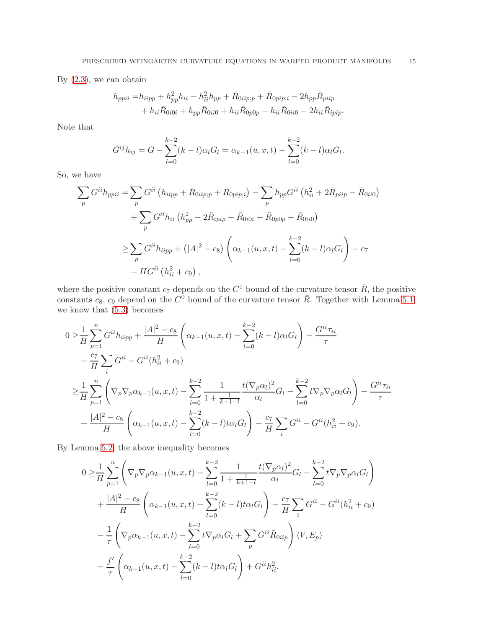By  $(2.3)$ , we can obtain

$$
h_{ppii} = h_{iipp} + h_{pp}^2 h_{ii} - h_{ii}^2 h_{pp} + \bar{R}_{0iip;p} + \bar{R}_{0pip;i} - 2h_{pp}\bar{R}_{piip} + h_{ii}\bar{R}_{0i0i} + h_{pp}\bar{R}_{0ii0} + h_{ii}\bar{R}_{0p0p} + h_{ii}\bar{R}_{0ii0} - 2h_{ii}\bar{R}_{ipip}.
$$

Note that

$$
G^{ij}h_{ij} = G - \sum_{l=0}^{k-2} (k-l)\alpha_l G_l = \alpha_{k-1}(u, x, t) - \sum_{l=0}^{k-2} (k-l)\alpha_l G_l.
$$

So, we have

$$
\sum_{p} G^{ii} h_{ppii} = \sum_{p} G^{ii} (h_{iipp} + \bar{R}_{0iip;p} + \bar{R}_{0pip;i}) - \sum_{p} h_{pp} G^{ii} (h_{ii}^{2} + 2\bar{R}_{pip} - \bar{R}_{0ii0})
$$
  
+ 
$$
\sum_{p} G^{ii} h_{ii} (h_{pp}^{2} - 2\bar{R}_{ipip} + \bar{R}_{0i0i} + \bar{R}_{0p0p} + \bar{R}_{0ii0})
$$
  

$$
\geq \sum_{p} G^{ii} h_{iipp} + (|A|^{2} - c_{8}) \left( \alpha_{k-1}(u, x, t) - \sum_{l=0}^{k-2} (k-l) \alpha_{l} G_{l} \right) - c_{7}
$$
  
- 
$$
H G^{ii} (h_{ii}^{2} + c_{9}),
$$

where the positive constant  $c_7$  depends on the  $C^1$  bound of the curvature tensor  $\bar{R}$ , the positive constants  $c_8$ ,  $c_9$  depend on the  $C^0$  bound of the curvature tensor  $\bar{R}$ . Together with Lemma [5.1,](#page-11-1) we know that  $(5.3)$  becomes

$$
0 \geq \frac{1}{H} \sum_{p=1}^{n} G^{ii} h_{iipp} + \frac{|A|^2 - c_8}{H} \left( \alpha_{k-1}(u, x, t) - \sum_{l=0}^{k-2} (k-l) \alpha_l G_l \right) - \frac{G^{ii} \tau_{ii}}{\tau}
$$
  

$$
- \frac{c_7}{H} \sum_{i} G^{ii} - G^{ii} (h_{ii}^2 + c_9)
$$
  

$$
\geq \frac{1}{H} \sum_{p=1}^{n} \left( \nabla_p \nabla_p \alpha_{k-1}(u, x, t) - \sum_{l=0}^{k-2} \frac{1}{1 + \frac{1}{k+1-l}} \frac{t(\nabla_p \alpha_l)^2}{\alpha_l} G_l - \sum_{l=0}^{k-2} t \nabla_p \nabla_p \alpha_l G_l \right) - \frac{G^{ii} \tau_{ii}}{\tau}
$$
  

$$
+ \frac{|A|^2 - c_8}{H} \left( \alpha_{k-1}(u, x, t) - \sum_{l=0}^{k-2} (k-l) t \alpha_l G_l \right) - \frac{c_7}{H} \sum_{i} G^{ii} - G^{ii} (h_{ii}^2 + c_9).
$$

By Lemma [5.2,](#page-12-0) the above inequality becomes

$$
0 \geq \frac{1}{H} \sum_{p=1}^{n} \left( \nabla_p \nabla_p \alpha_{k-1}(u, x, t) - \sum_{l=0}^{k-2} \frac{1}{1 + \frac{1}{k+1-l}} \frac{t(\nabla_p \alpha_l)^2}{\alpha_l} G_l - \sum_{l=0}^{k-2} t \nabla_p \nabla_p \alpha_l G_l \right) + \frac{|A|^2 - c_8}{H} \left( \alpha_{k-1}(u, x, t) - \sum_{l=0}^{k-2} (k-l) t \alpha_l G_l \right) - \frac{c_7}{H} \sum_i G^{ii} - G^{ii} (h_{ii}^2 + c_9) - \frac{1}{\tau} \left( \nabla_p \alpha_{k-1}(u, x, t) - \sum_{l=0}^{k-2} t \nabla_p \alpha_l G_l + \sum_p G^{ii} \overline{R}_{0iip} \right) \langle V, E_p \rangle - \frac{f'}{\tau} \left( \alpha_{k-1}(u, x, t) - \sum_{l=0}^{k-2} (k-l) t \alpha_l G_l \right) + G^{ii} h_{ii}^2.
$$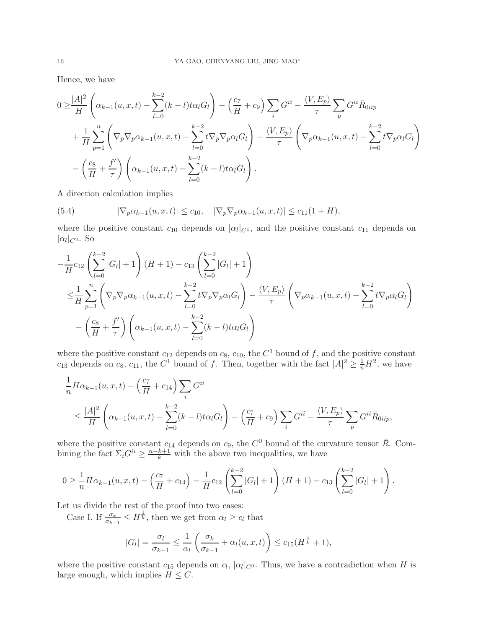Hence, we have

$$
0 \geq \frac{|A|^2}{H} \left( \alpha_{k-1}(u,x,t) - \sum_{l=0}^{k-2} (k-l)t \alpha_l G_l \right) - \left( \frac{c_7}{H} + c_9 \right) \sum_i G^{ii} - \frac{\langle V, E_p \rangle}{\tau} \sum_p G^{ii} \overline{R}_{0iip} + \frac{1}{H} \sum_{p=1}^n \left( \nabla_p \nabla_p \alpha_{k-1}(u,x,t) - \sum_{l=0}^{k-2} t \nabla_p \nabla_p \alpha_l G_l \right) - \frac{\langle V, E_p \rangle}{\tau} \left( \nabla_p \alpha_{k-1}(u,x,t) - \sum_{l=0}^{k-2} t \nabla_p \alpha_l G_l \right) - \left( \frac{c_8}{H} + \frac{f'}{\tau} \right) \left( \alpha_{k-1}(u,x,t) - \sum_{l=0}^{k-2} (k-l)t \alpha_l G_l \right).
$$

A direction calculation implies

(5.4) 
$$
|\nabla_p \alpha_{k-1}(u, x, t)| \leq c_{10}, \quad |\nabla_p \nabla_p \alpha_{k-1}(u, x, t)| \leq c_{11}(1 + H),
$$

where the positive constant  $c_{10}$  depends on  $|\alpha_l|_{C^1}$ , and the positive constant  $c_{11}$  depends on  $|\alpha_l|_{C^2}$ . So

$$
-\frac{1}{H}c_{12}\left(\sum_{l=0}^{k-2}|G_{l}|+1\right)(H+1)-c_{13}\left(\sum_{l=0}^{k-2}|G_{l}|+1\right)
$$
  

$$
\leq \frac{1}{H}\sum_{p=1}^{n}\left(\nabla_{p}\nabla_{p}\alpha_{k-1}(u,x,t)-\sum_{l=0}^{k-2}t\nabla_{p}\nabla_{p}\alpha_{l}G_{l}\right)-\frac{\langle V,E_{p}\rangle}{\tau}\left(\nabla_{p}\alpha_{k-1}(u,x,t)-\sum_{l=0}^{k-2}t\nabla_{p}\alpha_{l}G_{l}\right)
$$

$$
-\left(\frac{c_{8}}{H}+\frac{f'}{\tau}\right)\left(\alpha_{k-1}(u,x,t)-\sum_{l=0}^{k-2}(k-l)t\alpha_{l}G_{l}\right)
$$

where the positive constant  $c_{12}$  depends on  $c_8$ ,  $c_{10}$ , the  $C^1$  bound of f, and the positive constant  $c_{13}$  depends on  $c_8$ ,  $c_{11}$ , the  $C^1$  bound of f. Then, together with the fact  $|A|^2 \geq \frac{1}{n}H^2$ , we have

$$
\frac{1}{n}H\alpha_{k-1}(u,x,t) - \left(\frac{c_7}{H} + c_{14}\right) \sum_i G^{ii}
$$
\n
$$
\leq \frac{|A|^2}{H} \left(\alpha_{k-1}(u,x,t) - \sum_{l=0}^{k-2} (k-l)t\alpha_l G_l\right) - \left(\frac{c_7}{H} + c_9\right) \sum_i G^{ii} - \frac{\langle V, E_p \rangle}{\tau} \sum_p G^{ii} \overline{R}_{0iip},
$$

where the positive constant  $c_{14}$  depends on  $c_9$ , the  $C^0$  bound of the curvature tensor  $\bar{R}$ . Combining the fact  $\Sigma_i G^{ii} \geq \frac{n-k+1}{k}$  with the above two inequalities, we have

$$
0 \geq \frac{1}{n} H\alpha_{k-1}(u, x, t) - \left(\frac{c_7}{H} + c_{14}\right) - \frac{1}{H}c_{12}\left(\sum_{l=0}^{k-2} |G_l| + 1\right)(H+1) - c_{13}\left(\sum_{l=0}^{k-2} |G_l| + 1\right).
$$

Let us divide the rest of the proof into two cases:

Case I. If  $\frac{\sigma_k}{\sigma_{k-1}} \leq H^{\frac{1}{k}}$ , then we get from  $\alpha_l \geq c_l$  that

$$
|G_l| = \frac{\sigma_l}{\sigma_{k-1}} \le \frac{1}{\alpha_l} \left( \frac{\sigma_k}{\sigma_{k-1}} + \alpha_l(u, x, t) \right) \le c_{15}(H^{\frac{1}{k}} + 1),
$$

where the positive constant  $c_{15}$  depends on  $c_l$ ,  $|\alpha_l|_{C^0}$ . Thus, we have a contradiction when H is large enough, which implies  $H \leq C$ .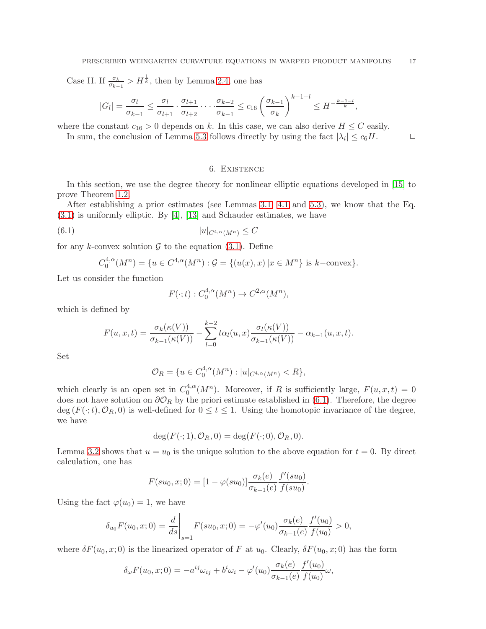Case II. If  $\frac{\sigma_k}{\sigma_{k-1}} > H^{\frac{1}{k}}$ , then by Lemma [2.4,](#page-5-3) one has

$$
|G_l| = \frac{\sigma_l}{\sigma_{k-1}} \le \frac{\sigma_l}{\sigma_{l+1}} \cdot \frac{\sigma_{l+1}}{\sigma_{l+2}} \cdot \dots \cdot \frac{\sigma_{k-2}}{\sigma_{k-1}} \le c_{16} \left(\frac{\sigma_{k-1}}{\sigma_k}\right)^{k-1-l} \le H^{-\frac{k-1-l}{k}},
$$

where the constant  $c_{16} > 0$  depends on k. In this case, we can also derive  $H \leq C$  easily.

<span id="page-16-0"></span>In sum, the conclusion of Lemma [5.3](#page-13-1) follows directly by using the fact  $|\lambda_i| \leq c_6 H$ .

### <span id="page-16-1"></span>6. Existence

In this section, we use the degree theory for nonlinear elliptic equations developed in [\[15\]](#page-17-12) to prove Theorem [1.2.](#page-1-3)

After establishing a prior estimates (see Lemmas [3.1,](#page-6-2) [4.1](#page-8-1) and [5.3\)](#page-13-1), we know that the Eq. [\(3.1\)](#page-6-1) is uniformly elliptic. By [\[4\]](#page-17-13), [\[13\]](#page-17-14) and Schauder estimates, we have

$$
(6.1) \t\t |u|_{C^{4,\alpha}(M^n)} \leq C
$$

for any k-convex solution  $\mathcal G$  to the equation [\(3.1\)](#page-6-1). Define

$$
C_0^{4,\alpha}(M^n) = \{ u \in C^{4,\alpha}(M^n) : \mathcal{G} = \{ (u(x),x) \mid x \in M^n \} \text{ is } k-\text{convex} \}.
$$

Let us consider the function

$$
F(\cdot;t): C_0^{4,\alpha}(M^n) \to C^{2,\alpha}(M^n),
$$

which is defined by

$$
F(u,x,t) = \frac{\sigma_k(\kappa(V))}{\sigma_{k-1}(\kappa(V))} - \sum_{l=0}^{k-2} t\alpha_l(u,x) \frac{\sigma_l(\kappa(V))}{\sigma_{k-1}(\kappa(V))} - \alpha_{k-1}(u,x,t).
$$

Set

$$
\mathcal{O}_R = \{ u \in C_0^{4,\alpha}(M^n) : |u|_{C^{4,\alpha}(M^n)} < R \},
$$

which clearly is an open set in  $C_0^{4,\alpha}$  $0^{4,\alpha}(M^n)$ . Moreover, if R is sufficiently large,  $F(u, x, t) = 0$ does not have solution on  $\partial \mathcal{O}_R$  by the priori estimate established in [\(6.1\)](#page-16-1). Therefore, the degree deg ( $F(\cdot;t), \mathcal{O}_R$ , 0) is well-defined for  $0 \le t \le 1$ . Using the homotopic invariance of the degree, we have

$$
\deg(F(\cdot; 1), \mathcal{O}_R, 0) = \deg(F(\cdot; 0), \mathcal{O}_R, 0).
$$

Lemma [3.2](#page-7-0) shows that  $u = u_0$  is the unique solution to the above equation for  $t = 0$ . By direct calculation, one has

$$
F(su_0, x; 0) = [1 - \varphi(su_0)] \frac{\sigma_k(e)}{\sigma_{k-1}(e)} \frac{f'(su_0)}{f(su_0)}.
$$

Using the fact  $\varphi(u_0) = 1$ , we have

$$
\delta_{u_0} F(u_0, x; 0) = \frac{d}{ds}\bigg|_{s=1} F(su_0, x; 0) = -\varphi'(u_0) \frac{\sigma_k(e)}{\sigma_{k-1}(e)} \frac{f'(u_0)}{f(u_0)} > 0,
$$

where  $\delta F(u_0, x; 0)$  is the linearized operator of F at  $u_0$ . Clearly,  $\delta F(u_0, x; 0)$  has the form

$$
\delta_{\omega} F(u_0, x; 0) = -a^{ij}\omega_{ij} + b^i \omega_i - \varphi'(u_0) \frac{\sigma_k(e)}{\sigma_{k-1}(e)} \frac{f'(u_0)}{f(u_0)} \omega,
$$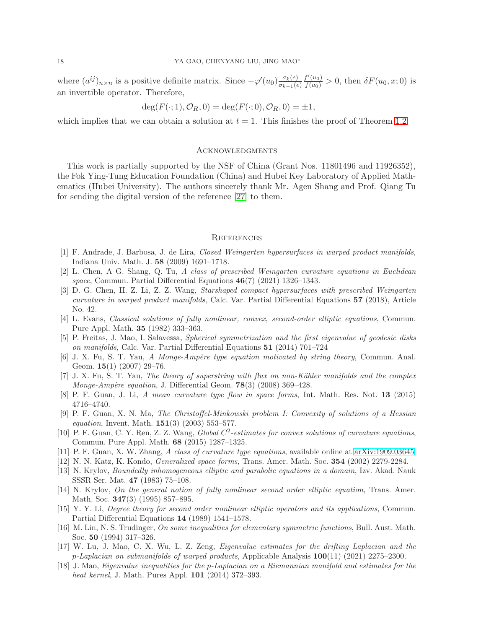where  $(a^{ij})_{n \times n}$  is a positive definite matrix. Since  $-\varphi'(u_0) \frac{\sigma_k(e)}{\sigma_{k-1}(e)}$  $\sigma_{k-1}(e)$  $\frac{f'(u_0)}{f(u_0)} > 0$ , then  $\delta F(u_0, x; 0)$  is an invertible operator. Therefore,

$$
\deg(F(\cdot; 1), \mathcal{O}_R, 0) = \deg(F(\cdot; 0), \mathcal{O}_R, 0) = \pm 1,
$$

which implies that we can obtain a solution at  $t = 1$ . This finishes the proof of Theorem [1.2.](#page-1-3)

#### **ACKNOWLEDGMENTS**

This work is partially supported by the NSF of China (Grant Nos. 11801496 and 11926352), the Fok Ying-Tung Education Foundation (China) and Hubei Key Laboratory of Applied Mathematics (Hubei University). The authors sincerely thank Mr. Agen Shang and Prof. Qiang Tu for sending the digital version of the reference [\[27\]](#page-18-5) to them.

#### **REFERENCES**

- <span id="page-17-10"></span>[1] F. Andrade, J. Barbosa, J. de Lira, Closed Weingarten hypersurfaces in warped product manifolds, Indiana Univ. Math. J. 58 (2009) 1691–1718.
- <span id="page-17-6"></span><span id="page-17-0"></span>[2] L. Chen, A G. Shang, Q. Tu, A class of prescribed Weingarten curvature equations in Euclidean space, Commun. Partial Differential Equations  $46(7)$  (2021) 1326–1343.
- [3] D. G. Chen, H. Z. Li, Z. Z. Wang, Starshaped compact hypersurfaces with prescribed Weingarten curvature in warped product manifolds, Calc. Var. Partial Differential Equations 57 (2018), Article No. 42.
- <span id="page-17-13"></span>[4] L. Evans, Classical solutions of fully nonlinear, convex, second-order elliptic equations, Commun. Pure Appl. Math. 35 (1982) 333–363.
- <span id="page-17-7"></span>[5] P. Freitas, J. Mao, I. Salavessa, Spherical symmetrization and the first eigenvalue of geodesic disks on manifolds, Calc. Var. Partial Differential Equations 51 (2014) 701–724
- <span id="page-17-4"></span>[6] J. X. Fu, S. T. Yau, A Monge-Ampère type equation motivated by string theory, Commun. Anal. Geom. 15(1) (2007) 29–76.
- <span id="page-17-5"></span>[7] J. X. Fu, S. T. Yau, The theory of superstring with flux on non-Kähler manifolds and the complex *Monge-Ampère equation*, J. Differential Geom.  $78(3)$  (2008) 369–428.
- [8] P. F. Guan, J. Li, A mean curvature type flow in space forms, Int. Math. Res. Not. 13 (2015) 4716–4740.
- [9] P. F. Guan, X. N. Ma, The Christoffel-Minkowski problem I: Convexity of solutions of a Hessian equation, Invent. Math.  $151(3)$  (2003) 553-577.
- [10] P. F. Guan, C. Y. Ren, Z. Z. Wang, Global  $C^2$ -estimates for convex solutions of curvature equations, Commun. Pure Appl. Math. 68 (2015) 1287–1325.
- <span id="page-17-8"></span><span id="page-17-3"></span>[11] P. F. Guan, X. W. Zhang, A class of curvature type equations, available online at [arXiv:1909.03645.](http://arxiv.org/abs/1909.03645)
- <span id="page-17-14"></span>[12] N. N. Katz, K. Kondo, Generalized space forms, Trans. Amer. Math. Soc. 354 (2002) 2279-2284.
- [13] N. Krylov, Boundedly inhomogeneous elliptic and parabolic equations in a domain, Izv. Akad. Nauk SSSR Ser. Mat. 47 (1983) 75–108.
- <span id="page-17-2"></span>[14] N. Krylov, On the general notion of fully nonlinear second order elliptic equation, Trans. Amer. Math. Soc. **347**(3) (1995) 857–895.
- <span id="page-17-12"></span>[15] Y. Y. Li, Degree theory for second order nonlinear elliptic operators and its applications, Commun. Partial Differential Equations 14 (1989) 1541–1578.
- <span id="page-17-11"></span>[16] M. Lin, N. S. Trudinger, On some inequalities for elementary symmetric functions, Bull. Aust. Math. Soc. 50 (1994) 317–326.
- <span id="page-17-1"></span>[17] W. Lu, J. Mao, C. X. Wu, L. Z. Zeng, Eigenvalue estimates for the drifting Laplacian and the p-Laplacian on submanifolds of warped products, Applicable Analysis 100(11) (2021) 2275–2300.
- <span id="page-17-9"></span>[18] J. Mao, Eigenvalue inequalities for the p-Laplacian on a Riemannian manifold and estimates for the heat kernel, J. Math. Pures Appl. **101** (2014) 372-393.